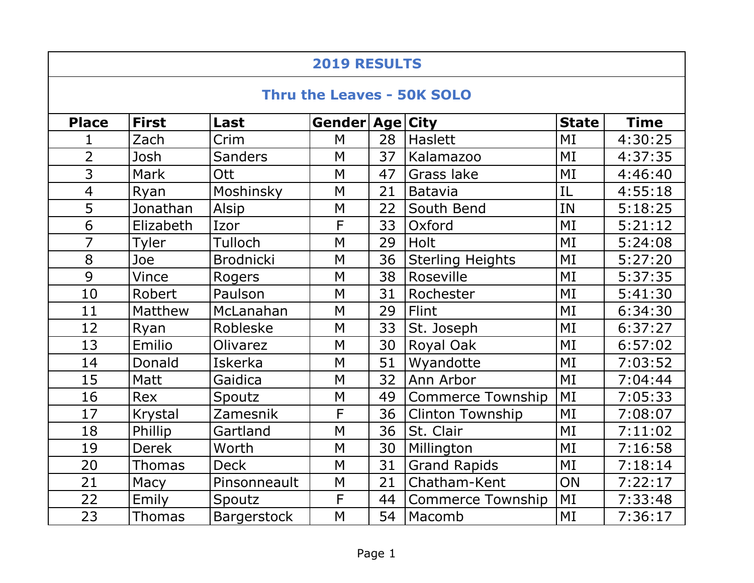| <b>2019 RESULTS</b>               |               |                    |                 |    |                          |              |             |  |  |  |  |
|-----------------------------------|---------------|--------------------|-----------------|----|--------------------------|--------------|-------------|--|--|--|--|
| <b>Thru the Leaves - 50K SOLO</b> |               |                    |                 |    |                          |              |             |  |  |  |  |
| <b>Place</b>                      | <b>First</b>  | Last               | Gender Age City |    |                          | <b>State</b> | <b>Time</b> |  |  |  |  |
| 1                                 | Zach          | Crim               | M               | 28 | Haslett                  | MI           | 4:30:25     |  |  |  |  |
| $\overline{2}$                    | Josh          | <b>Sanders</b>     | M               | 37 | Kalamazoo                | MI           | 4:37:35     |  |  |  |  |
| $\overline{3}$                    | <b>Mark</b>   | Ott                | M               | 47 | <b>Grass lake</b>        | MI           | 4:46:40     |  |  |  |  |
| $\overline{4}$                    | Ryan          | Moshinsky          | M               | 21 | Batavia                  | IL           | 4:55:18     |  |  |  |  |
| $\overline{5}$                    | Jonathan      | Alsip              | M               | 22 | South Bend               | IN           | 5:18:25     |  |  |  |  |
| $\overline{6}$                    | Elizabeth     | Izor               | $\overline{F}$  | 33 | Oxford                   | MI           | 5:21:12     |  |  |  |  |
| $\overline{7}$                    | Tyler         | Tulloch            | M               | 29 | <b>Holt</b>              | MI           | 5:24:08     |  |  |  |  |
| 8                                 | Joe           | <b>Brodnicki</b>   | M               | 36 | <b>Sterling Heights</b>  | MI           | 5:27:20     |  |  |  |  |
| $\overline{9}$                    | Vince         | <b>Rogers</b>      | M               | 38 | Roseville                | MI           | 5:37:35     |  |  |  |  |
| 10                                | Robert        | Paulson            | M               | 31 | Rochester                | MI           | 5:41:30     |  |  |  |  |
| 11                                | Matthew       | McLanahan          | M               | 29 | Flint                    | MI           | 6:34:30     |  |  |  |  |
| 12                                | Ryan          | Robleske           | M               | 33 | St. Joseph               | MI           | 6:37:27     |  |  |  |  |
| 13                                | Emilio        | Olivarez           | M               | 30 | <b>Royal Oak</b>         | MI           | 6:57:02     |  |  |  |  |
| 14                                | Donald        | <b>Iskerka</b>     | M               | 51 | Wyandotte                | MI           | 7:03:52     |  |  |  |  |
| 15                                | Matt          | Gaidica            | M               | 32 | Ann Arbor                | MI           | 7:04:44     |  |  |  |  |
| 16                                | <b>Rex</b>    | Spoutz             | M               | 49 | <b>Commerce Township</b> | MI           | 7:05:33     |  |  |  |  |
| 17                                | Krystal       | Zamesnik           | F               | 36 | <b>Clinton Township</b>  | MI           | 7:08:07     |  |  |  |  |
| 18                                | Phillip       | Gartland           | M               | 36 | St. Clair                | MI           | 7:11:02     |  |  |  |  |
| 19                                | <b>Derek</b>  | Worth              | M               | 30 | Millington               | MI           | 7:16:58     |  |  |  |  |
| 20                                | <b>Thomas</b> | <b>Deck</b>        | M               | 31 | <b>Grand Rapids</b>      | MI           | 7:18:14     |  |  |  |  |
| 21                                | Macy          | Pinsonneault       | M               | 21 | Chatham-Kent             | ON           | 7:22:17     |  |  |  |  |
| 22                                | Emily         | Spoutz             | F               | 44 | <b>Commerce Township</b> | MI           | 7:33:48     |  |  |  |  |
| 23                                | <b>Thomas</b> | <b>Bargerstock</b> | M               | 54 | l Macomb                 | MI           | 7:36:17     |  |  |  |  |